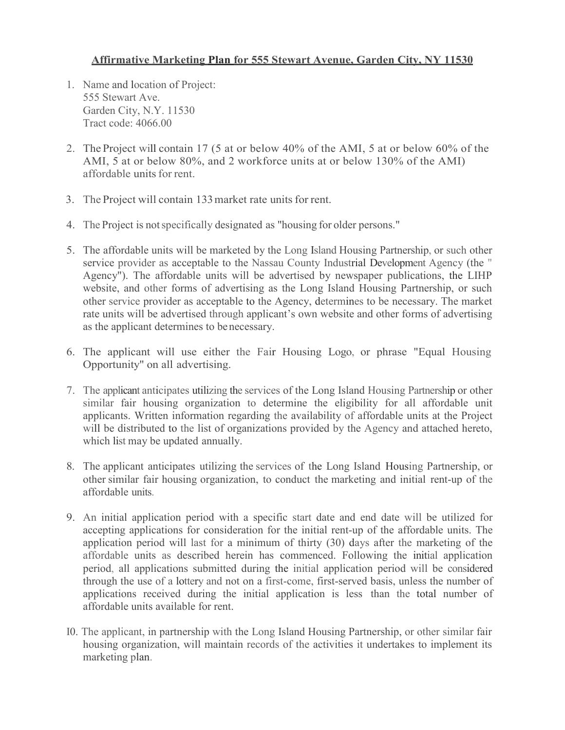### **Affirmative Marketing Plan for 555 Stewart Avenue, Garden City, NY 11530**

- 1. Name and location of Project: 555 Stewart Ave. Garden City, N.Y. 11530 Tract code: 4066.00
- 2. The Project will contain 17 (5 at or below 40% of the AMI, 5 at or below 60% of the AMI, 5 at or below 80%, and 2 workforce units at or below 130% of the AMI) affordable units for rent.
- 3. The Project will contain 133 market rate units for rent.
- 4. The Project is not specifically designated as "housing for older persons."
- 5. The affordable units will be marketed by the Long Island Housing Partnership, or such other service provider as acceptable to the Nassau County Industrial Development Agency (the " Agency"). The affordable units will be advertised by newspaper publications, the LIHP website, and other forms of advertising as the Long Island Housing Partnership, or such other service provider as acceptable to the Agency, determines to be necessary. The market rate units will be advertised through applicant's own website and other forms of advertising as the applicant determines to benecessary.
- 6. The applicant will use either the Fair Housing Logo, or phrase "Equal Housing Opportunity'' on all advertising.
- 7. The applicant anticipates utilizing the services of the Long Island Housing Partnership or other similar fair housing organization to determine the eligibility for all affordable unit applicants. Written information regarding the availability of affordable units at the Project will be distributed to the list of organizations provided by the Agency and attached hereto, which list may be updated annually.
- 8. The applicant anticipates utilizing the services of the Long Island Housing Partnership, or other similar fair housing organization, to conduct the marketing and initial rent-up of the affordable units.
- 9. An initial application period with a specific start date and end date will be utilized for accepting applications for consideration for the initial rent-up of the affordable units. The application period will last for a minimum of thirty (30) days after the marketing of the affordable units as described herein has commenced. Following the initial application period, all applications submitted during the initial application period will be considered through the use of a lottery and not on a first-come, first-served basis, unless the number of applications received during the initial application is less than the total number of affordable units available for rent.
- I0. The applicant, in partnership with the Long Island Housing Partnership, or other similar fair housing organization, will maintain records of the activities it undertakes to implement its marketing plan.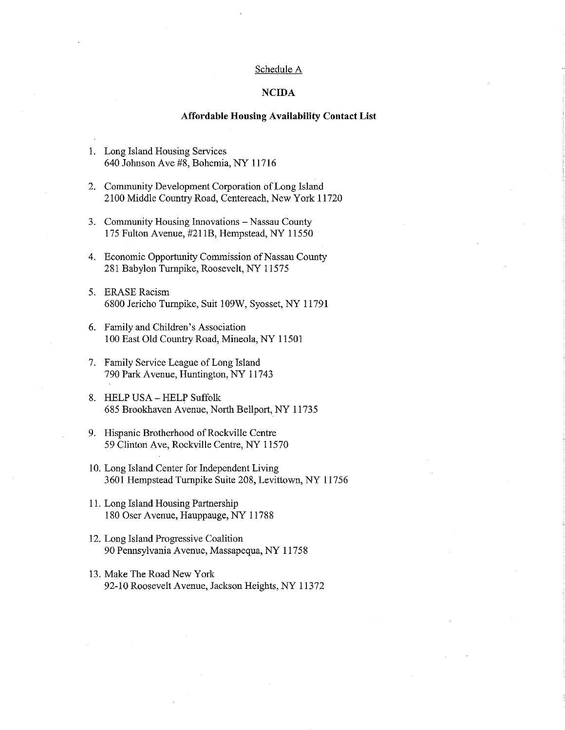#### Schedule A

#### **NCIDA**

#### **Affordable Housing Availability Contact List**

- 1. Long Island Housing Services 640 Johnson Ave #8, Bohemia, NY 11716
- 2. Community Development Corporation of Long Island 2100 Middle Country Road, Centereach, New York 11720
- 3. Community Housing Innovations Nassau County 175 Fulton Avenue, #211B, Hempstead, NY 11550
- 4. Economic Opportunity Commission of Nassau County 281 Babylon Turnpike, Roosevelt, NY 11575
- 5. ERASE Racism 6800 Jericho Turnpike, Suit 109W, Syosset, NY 11791
- 6. Family and Children's Association 100 East Old Country Road, Mineola, NY 11501
- 7. Family Service League of Long Island 790 Park Avenue, Huntington, NY 11743
- 8. HELP USA HELP Suffolk 685 Brookhaven Avenue, North Bellport, NY 11735
- 9. Hispanic Brotherhood of Rockville Centre 59 Clinton Ave, Rockville Centre, NY 11570
- 10. Long Island Center for Independent Living 3601 Hempstead Turnpike Suite 208, Levittown, NY 11756
- 11. Long Island Housing Partnership 180 Oser Avenue, Hauppauge, NY 11788
- 12. Long Island Progressive Coalition 90 Pennsylvania Avenue, Massapequa, NY 11758
- 13. Make The Road New York 92-10 Roosevelt Avenue, Jackson Heights, NY 11372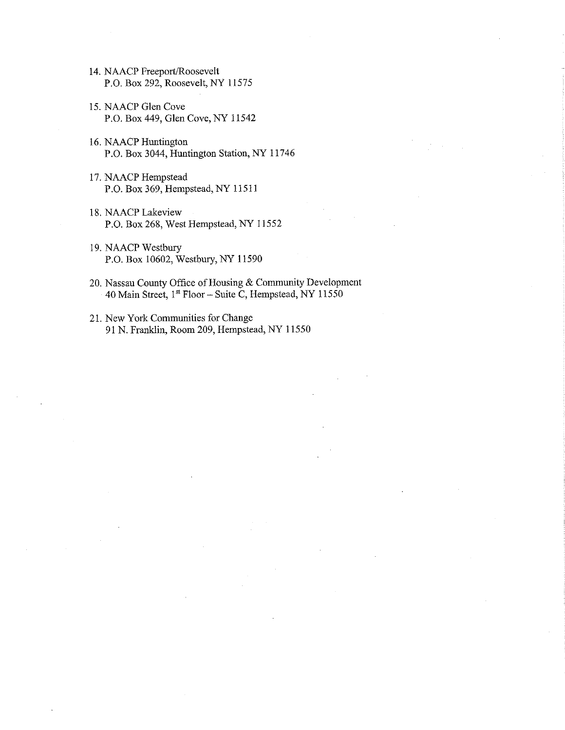- 14. NAACP Freeport/Roosevelt P.O. Box 292, Roosevelt, NY 11575
- 15. NAACP Glen Cove P.O. Box 449, Glen Cove, NY 11542
- 16. NAACP Huntington P.O. Box 3044, Huntington Station, NY 11746
- 17. NAACP Hempstead P.O. Box 369, Hempstead, NY 11511
- 18. NAACP Lakeview P.O. Box 268, West Hempstead, NY 11552
- 19. NAACP Westbury P.O. Box 10602, Westbury, NY 11590
- 20. Nassau County Office of Housing & Community Development 40 Main Street, 1st Floor - Suite C, Hempstead, NY 11550
- 21. New York Communities for Change 91 N. Franklin, Room 209, Hempstead, NY 11550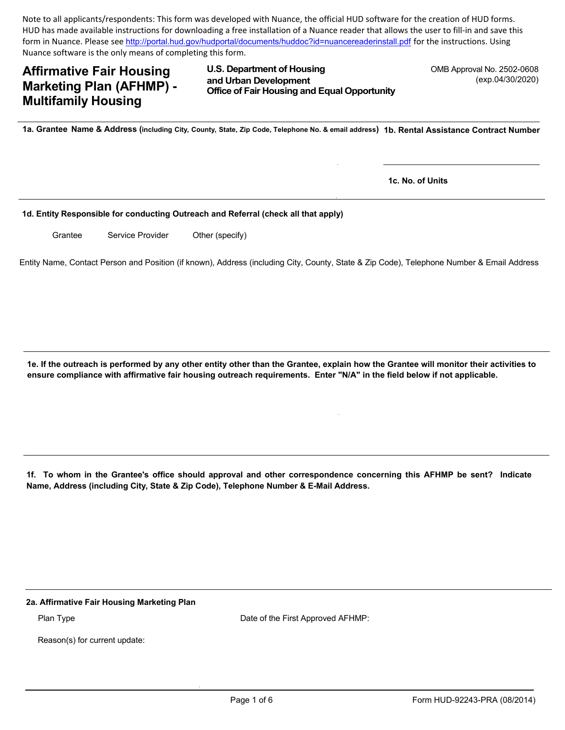Note to all applicants/respondents: This form was developed with Nuance, the official HUD software for the creation of HUD forms. HUD has made available instructions for downloading a free installation of a Nuance reader that allows the user to fill-in and save this form in Nuance. Please see http://portal.hud.gov/hudportal/documents/huddoc?id=nuancereaderinstall.pdf for the instructions. Using Nuance software is the only means of completing this form.

# **Affirmative Fair Housing Marketing Plan (AFHMP) -Multifamily Housing**

U.S. Department of Housing and Urban Development **Office of Fair Housing and Equal Opportunity** 

OMB Approval No. 2502-0608 (exp.04/30/2020)

1a. Grantee Name & Address (including City, County, State, Zip Code, Telephone No. & email address) 1b. Rental Assistance Contract Number

1c. No. of Units

#### 1d. Entity Responsible for conducting Outreach and Referral (check all that apply)

Grantee Service Provider Other (specify)

Entity Name, Contact Person and Position (if known), Address (including City, County, State & Zip Code), Telephone Number & Email Address

1e. If the outreach is performed by any other entity other than the Grantee, explain how the Grantee will monitor their activities to ensure compliance with affirmative fair housing outreach requirements. Enter "N/A" in the field below if not applicable.

1f. To whom in the Grantee's office should approval and other correspondence concerning this AFHMP be sent? Indicate Name, Address (including City, State & Zip Code), Telephone Number & E-Mail Address.

2a. Affirmative Fair Housing Marketing Plan

Plan Type

Date of the First Approved AFHMP:

Reason(s) for current update: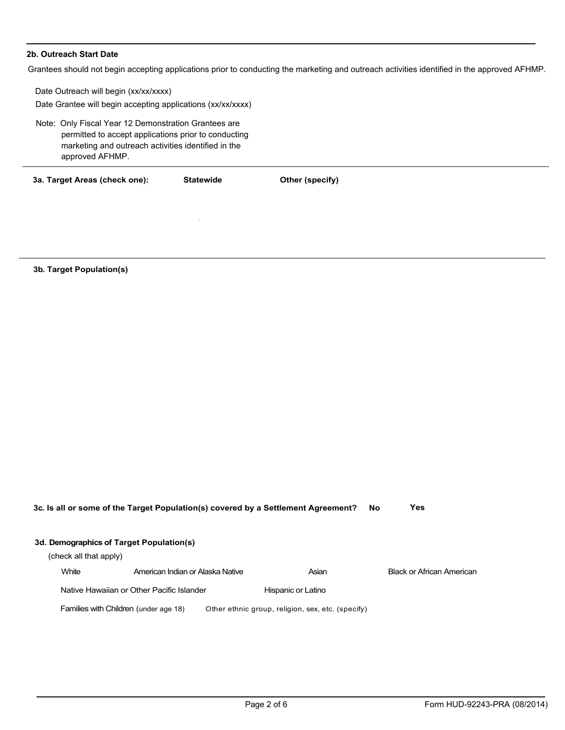#### 2b. Outreach Start Date

Grantees should not begin accepting applications prior to conducting the marketing and outreach activities identified in the approved AFHMP.

Date Outreach will begin (xx/xx/xxxx) Date Grantee will begin accepting applications (xx/xx/xxxx) Note: Only Fiscal Year 12 Demonstration Grantees are permitted to accept applications prior to conducting marketing and outreach activities identified in the approved AFHMP. **Statewide** 3a. Target Areas (check one): Other (specify)

3b. Target Population(s)

| 3c. Is all or some of the Target Population(s) covered by a Settlement Agreement? |                                           |                                                   | Yes<br>No. |                                  |
|-----------------------------------------------------------------------------------|-------------------------------------------|---------------------------------------------------|------------|----------------------------------|
|                                                                                   | 3d. Demographics of Target Population(s)  |                                                   |            |                                  |
|                                                                                   | (check all that apply)                    |                                                   |            |                                  |
| White                                                                             | American Indian or Alaska Native          | Asian                                             |            | <b>Black or African American</b> |
|                                                                                   | Native Hawaiian or Other Pacific Islander | Hispanic or Latino                                |            |                                  |
|                                                                                   | Families with Children (under age 18)     | Other ethnic group, religion, sex, etc. (specify) |            |                                  |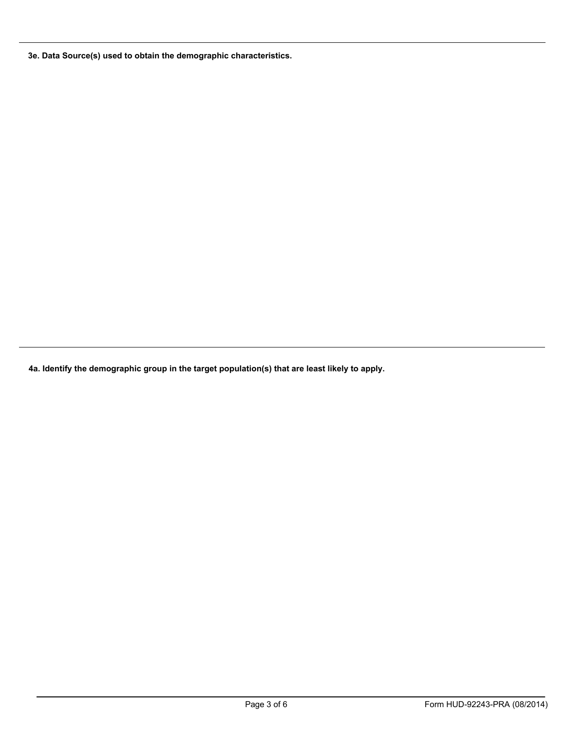3e. Data Source(s) used to obtain the demographic characteristics.

4a. Identify the demographic group in the target population(s) that are least likely to apply.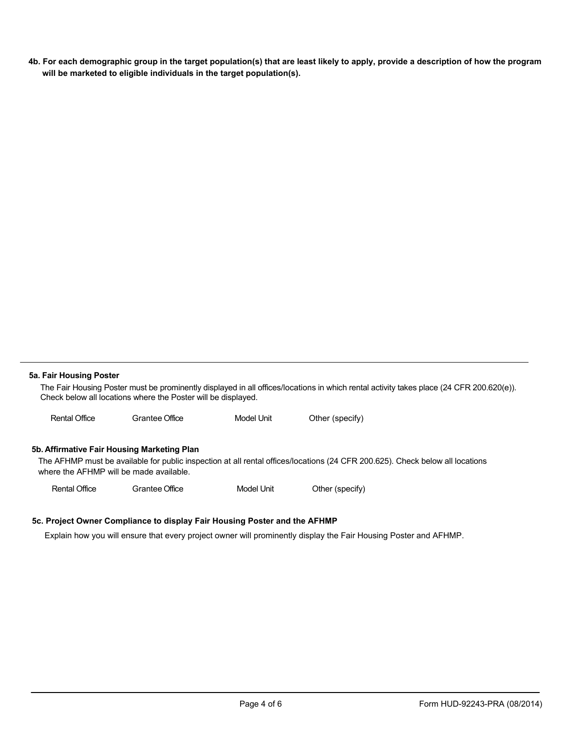4b. For each demographic group in the target population(s) that are least likely to apply, provide a description of how the program will be marketed to eligible individuals in the target population(s).

#### 5a. Fair Housing Poster

The Fair Housing Poster must be prominently displayed in all offices/locations in which rental activity takes place (24 CFR 200.620(e)). Check below all locations where the Poster will be displayed.

**Model Unit Rental Office** Grantee Office Other (specify)

#### 5b. Affirmative Fair Housing Marketing Plan

The AFHMP must be available for public inspection at all rental offices/locations (24 CFR 200.625). Check below all locations where the AFHMP will be made available.

**Rental Office Grantee Office Model Unit** Other (specify)

#### 5c. Project Owner Compliance to display Fair Housing Poster and the AFHMP

Explain how you will ensure that every project owner will prominently display the Fair Housing Poster and AFHMP.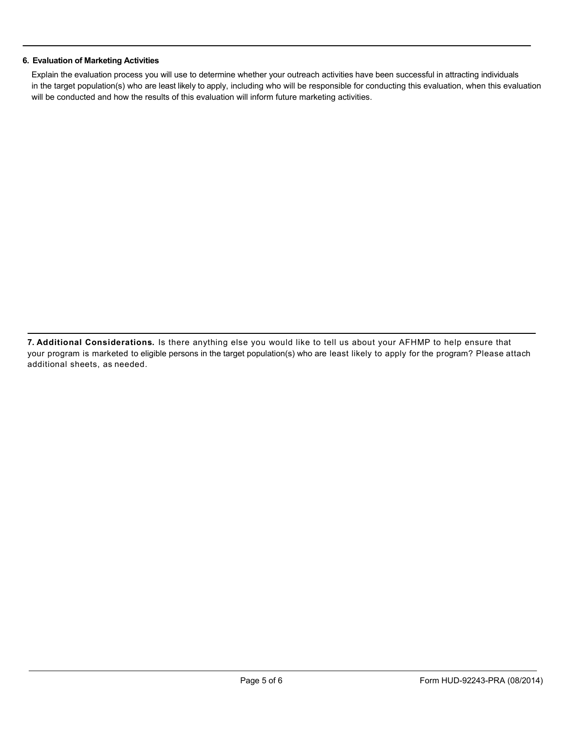#### 6. Evaluation of Marketing Activities

Explain the evaluation process you will use to determine whether your outreach activities have been successful in attracting individuals in the target population(s) who are least likely to apply, including who will be responsible for conducting this evaluation, when this evaluation will be conducted and how the results of this evaluation will inform future marketing activities.

7. Additional Considerations. Is there anything else you would like to tell us about your AFHMP to help ensure that your program is marketed to eligible persons in the target population(s) who are least likely to apply for the program? Please attach additional sheets, as needed.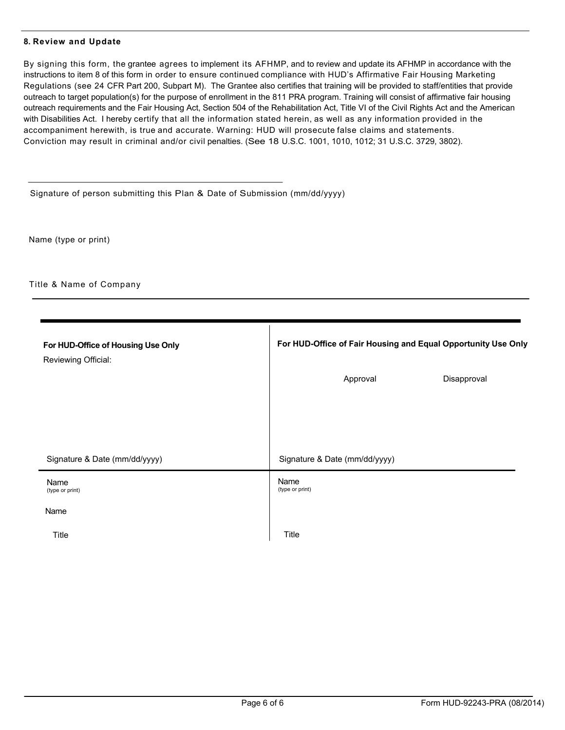#### 8. Review and Update

By signing this form, the grantee agrees to implement its AFHMP, and to review and update its AFHMP in accordance with the instructions to item 8 of this form in order to ensure continued compliance with HUD's Affirmative Fair Housing Marketing Regulations (see 24 CFR Part 200, Subpart M). The Grantee also certifies that training will be provided to staff/entities that provide outreach to target population(s) for the purpose of enrollment in the 811 PRA program. Training will consist of affirmative fair housing outreach requirements and the Fair Housing Act, Section 504 of the Rehabilitation Act, Title VI of the Civil Rights Act and the American with Disabilities Act. I hereby certify that all the information stated herein, as well as any information provided in the accompaniment herewith, is true and accurate. Warning: HUD will prosecute false claims and statements. Conviction may result in criminal and/or civil penalties. (See 18 U.S.C. 1001, 1010, 1012; 31 U.S.C. 3729, 3802).

Signature of person submitting this Plan & Date of Submission (mm/dd/yyyy)

Name (type or print)

Title & Name of Company

| For HUD-Office of Housing Use Only<br>Reviewing Official: | For HUD-Office of Fair Housing and Equal Opportunity Use Only |  |
|-----------------------------------------------------------|---------------------------------------------------------------|--|
|                                                           | Approval<br>Disapproval                                       |  |
|                                                           |                                                               |  |
|                                                           |                                                               |  |
| Signature & Date (mm/dd/yyyy)                             | Signature & Date (mm/dd/yyyy)                                 |  |
| Name<br>(type or print)                                   | Name<br>(type or print)                                       |  |
| Name                                                      |                                                               |  |
| Title                                                     | Title                                                         |  |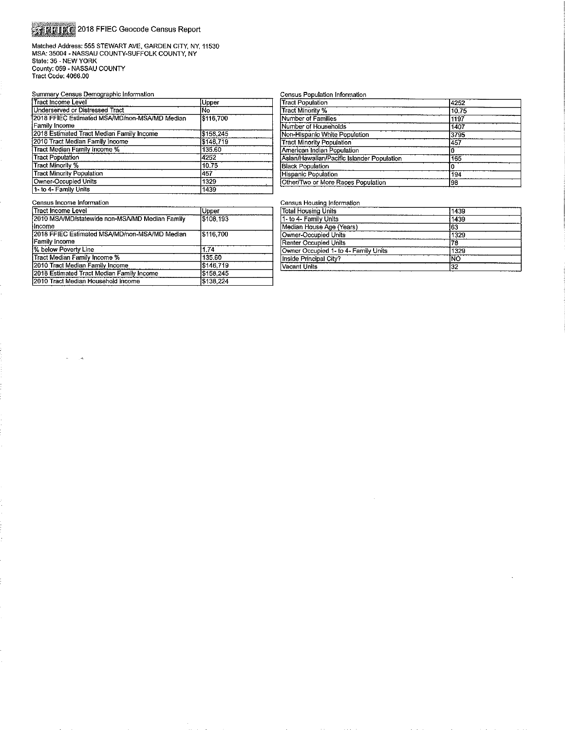# **STRING** 2018 FFIEC Geocode Census Report

Matched Address: 555 STEWART AVE, GARDEN CITY, NY, 11530<br>MSA: 35004 - NASSAU COUNTY-SUFFOLK COUNTY, NY<br>State: 36 - NEW YORK<br>County: 059 - NASSAU COUNTY<br>Tract Code: 4066.00

#### Summary Census Demographic Information

| Tract Income Level                            | Upper     |
|-----------------------------------------------|-----------|
| Underserved or Distressed Tract               | iŃo       |
| 2018 FFIEC Estimated MSA/MD/non-MSA/MD Median | \$116.700 |
| Family Income                                 |           |
| 2018 Estimated Tract Median Family Income     | \$158,245 |
| 2010 Tract Median Family Income               | \$146.719 |
| Tract Median Family Income %                  | 135.60    |
| <b>Tract Population</b>                       | 4252      |
| Tract Minority %                              | 10.75     |
| <b>Tract Minority Population</b>              | 457       |
| Owner-Occupied Units                          | 1329      |
| 1- to 4- Family Units                         | 1439      |

|  | Jensus Population Information. |
|--|--------------------------------|
|  |                                |

| <b>Tract Population</b>                    | 4252  |  |
|--------------------------------------------|-------|--|
| <b>Tract Minority %</b>                    | 10.75 |  |
| Number of Families                         | 1197  |  |
| Number of Households                       | 1407  |  |
| Non-Hispanic White Population              | 3795  |  |
| <b>Tract Minority Population</b>           | 457   |  |
| American Indian Population                 |       |  |
| Asian/Hawaiian/Pacific Islander Population | 165   |  |
| <b>Black Population</b>                    |       |  |
| <b>Hispanic Population</b>                 | 194   |  |
| Other/Two or More Races Population         | 98    |  |
|                                            |       |  |

#### Census Income Information

| l Tract Income Level                           | Upper     |
|------------------------------------------------|-----------|
| 2010 MSA/MD/statewide non-MSA/MD Median Family | \$108.193 |
| Hncome                                         |           |
| 2018 FFIEC Estimated MSA/MD/non-MSA/MD Median  | \$116,700 |
| Family Income                                  |           |
| % below Poverty Line                           | 1.74      |
| Tract Median Family Income %                   | 135.60    |
| 2010 Tract Median Family Income                | \$146,719 |
| 2018 Estimated Tract Median Family Income      | \$158,245 |
| 12010 Tract Median Household Income            | \$138,224 |

#### Census Housing Information

| lotal Housing Units                  | 1439 |  |
|--------------------------------------|------|--|
| I- to 4- Family Units                | 1439 |  |
| Median House Age (Years)             | 163  |  |
| Owner-Occupied Units                 | 1329 |  |
| Renter Occupied Units                | 78   |  |
| Owner Occupied 1- to 4- Family Units | 1329 |  |
| nside Principal City?                | ĪÑΟ  |  |
| /acant Units                         | 32   |  |
|                                      |      |  |

 $\sim$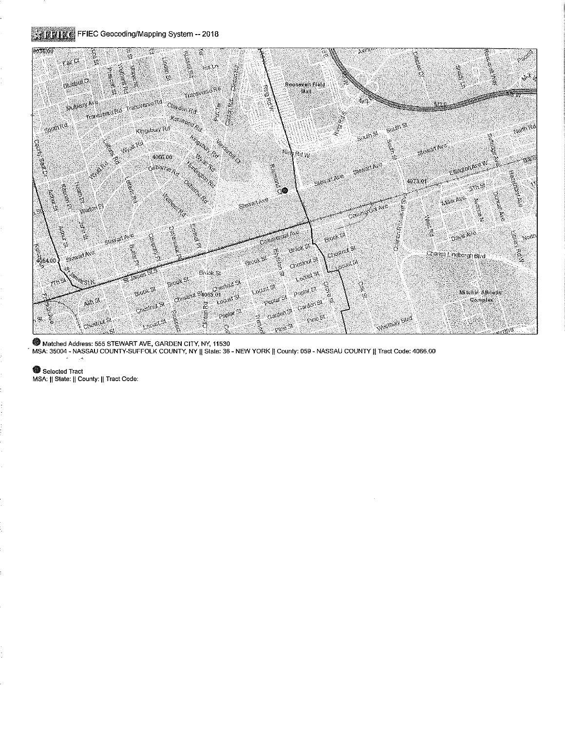## STIPING FFIEC Geocoding/Mapping System -- 2018



Matched Address: 555 STEWART AVE, GARDEN CITY, NY, 11530

MSA: 35004 - NASSAU COUNTY-SUFFOLK COUNTY, NY || State: 36 - NEW YORK || County: 059 - NASSAU COUNTY || Tract Code: 4066.00

Selected Tract MSA: || State: || County: || Tract Code: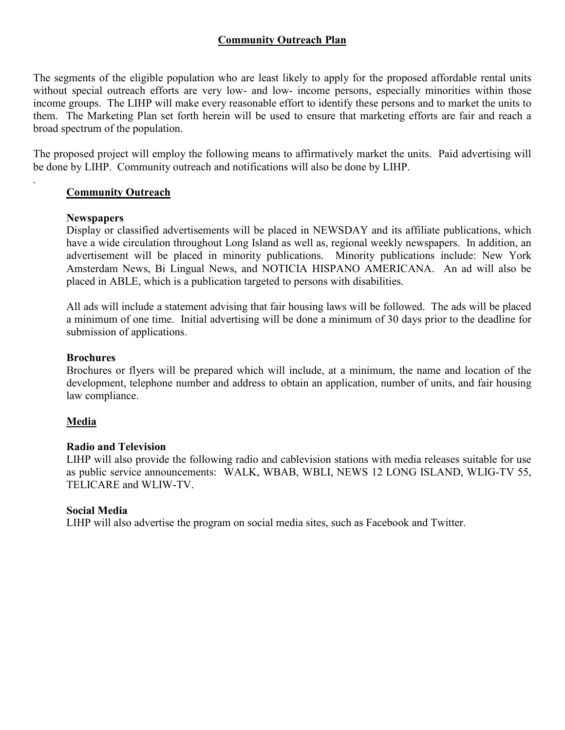## **Community Outreach Plan**

The segments of the eligible population who are least likely to apply for the proposed affordable rental units without special outreach efforts are very low- and low- income persons, especially minorities within those income groups. The LIHP will make every reasonable effort to identify these persons and to market the units to them. The Marketing Plan set forth herein will be used to ensure that marketing efforts are fair and reach a broad spectrum of the population.

The proposed project will employ the following means to affirmatively market the units. Paid advertising will be done by LIHP. Community outreach and notifications will also be done by LIHP.

### **Community Outreach**

### **Newspapers**

.

Display or classified advertisements will be placed in NEWSDAY and its affiliate publications, which have a wide circulation throughout Long Island as well as, regional weekly newspapers. In addition, an advertisement will be placed in minority publications. Minority publications include: New York Amsterdam News, Bi Lingual News, and NOTICIA HISPANO AMERICANA. An ad will also be placed in ABLE, which is a publication targeted to persons with disabilities.

All ads will include a statement advising that fair housing laws will be followed. The ads will be placed a minimum of one time. Initial advertising will be done a minimum of 30 days prior to the deadline for submission of applications.

### **Brochures**

Brochures or flyers will be prepared which will include, at a minimum, the name and location of the development, telephone number and address to obtain an application, number of units, and fair housing law compliance.

### **Media**

### **Radio and Television**

LIHP will also provide the following radio and cablevision stations with media releases suitable for use as public service announcements: WALK, WBAB, WBLI, NEWS 12 LONG ISLAND, WLIG-TV 55, TELICARE and WLIW-TV.

### **Social Media**

LIHP will also advertise the program on social media sites, such as Facebook and Twitter.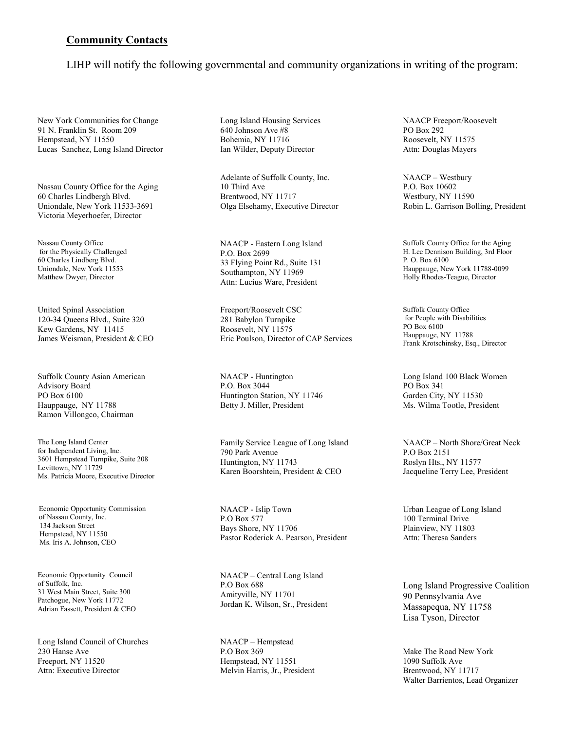### **Community Contacts**

LIHP will notify the following governmental and community organizations in writing of the program:

New York Communities for Change 91 N. Franklin St. Room 209 Hempstead, NY 11550 Lucas Sanchez, Long Island Director

Nassau County Office for the Aging 60 Charles Lindbergh Blvd. Uniondale, New York 11533-3691 Victoria Meyerhoefer, Director

Nassau County Office for the Physically Challenged 60 Charles Lindberg Blvd. Uniondale, New York 11553 Matthew Dwyer, Director

United Spinal Association 120-34 Queens Blvd., Suite 320 Kew Gardens, NY 11415 James Weisman, President & CEO

Suffolk County Asian American Advisory Board PO Box 6100 Hauppauge, NY 11788 Ramon Villongco, Chairman

The Long Island Center for Independent Living, Inc. 3601 Hempstead Turnpike, Suite 208 Levittown, NY 11729 Ms. Patricia Moore, Executive Director

 Economic Opportunity Commission of Nassau County, Inc. 134 Jackson Street Hempstead, NY 11550 Ms. Iris A. Johnson, CEO

Economic Opportunity Council of Suffolk, Inc. 31 West Main Street, Suite 300 Patchogue, New York 11772 Adrian Fassett, President & CEO

Long Island Council of Churches 230 Hanse Ave Freeport, NY 11520 Attn: Executive Director

Long Island Housing Services 640 Johnson Ave #8 Bohemia, NY 11716 Ian Wilder, Deputy Director

Adelante of Suffolk County, Inc. 10 Third Ave Brentwood, NY 11717 Olga Elsehamy, Executive Director

NAACP - Eastern Long Island P.O. Box 2699 33 Flying Point Rd., Suite 131 Southampton, NY 11969 Attn: Lucius Ware, President

Freeport/Roosevelt CSC 281 Babylon Turnpike Roosevelt, NY 11575 Eric Poulson, Director of CAP Services

NAACP - Huntington P.O. Box 3044 Huntington Station, NY 11746 Betty J. Miller, President

Family Service League of Long Island 790 Park Avenue Huntington, NY 11743 Karen Boorshtein, President & CEO

NAACP - Islip Town P.O Box 577 Bays Shore, NY 11706 Pastor Roderick A. Pearson, President

NAACP – Central Long Island P.O Box 688 Amityville, NY 11701 Jordan K. Wilson, Sr., President

NAACP – Hempstead P.O Box 369 Hempstead, NY 11551 Melvin Harris, Jr., President NAACP Freeport/Roosevelt PO Box 292 Roosevelt, NY 11575 Attn: Douglas Mayers

NAACP – Westbury P.O. Box 10602 Westbury, NY 11590 Robin L. Garrison Bolling, President

Suffolk County Office for the Aging H. Lee Dennison Building, 3rd Floor P. O. Box 6100 Hauppauge, New York 11788-0099 Holly Rhodes-Teague, Director

Suffolk County Office for People with Disabilities PO Box 6100 Hauppauge, NY 11788 Frank Krotschinsky, Esq., Director

Long Island 100 Black Women PO Box 341 Garden City, NY 11530 Ms. Wilma Tootle, President

NAACP – North Shore/Great Neck P.O Box 2151 Roslyn Hts., NY 11577 Jacqueline Terry Lee, President

Urban League of Long Island 100 Terminal Drive Plainview, NY 11803 Attn: Theresa Sanders

Long Island Progressive Coalition 90 Pennsylvania Ave Massapequa, NY 11758 Lisa Tyson, Director

Make The Road New York 1090 Suffolk Ave Brentwood, NY 11717 Walter Barrientos, Lead Organizer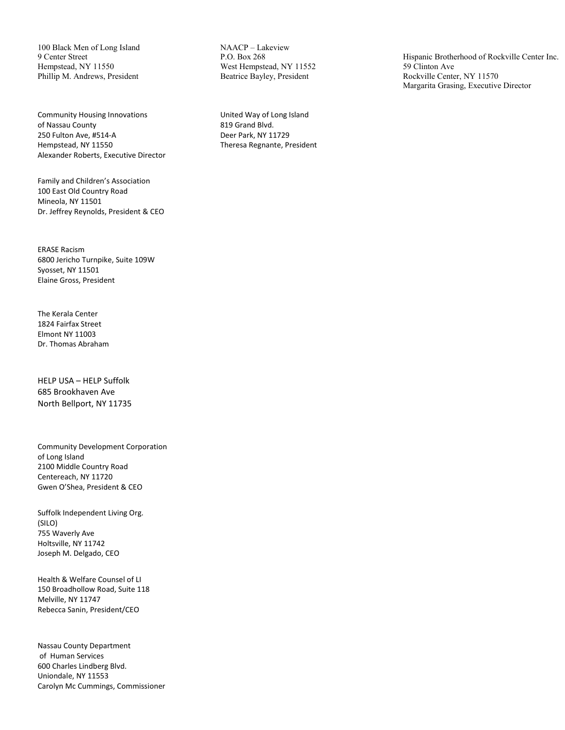100 Black Men of Long Island 9 Center Street Hempstead, NY 11550 Phillip M. Andrews, President

Community Housing Innovations of Nassau County 250 Fulton Ave, #514-A Hempstead, NY 11550 Alexander Roberts, Executive Director

Family and Children's Association 100 East Old Country Road Mineola, NY 11501 Dr. Jeffrey Reynolds, President & CEO

ERASE Racism 6800 Jericho Turnpike, Suite 109W Syosset, NY 11501 Elaine Gross, President

The Kerala Center 1824 Fairfax Street Elmont NY 11003 Dr. Thomas Abraham

HELP USA – HELP Suffolk 685 Brookhaven Ave North Bellport, NY 11735

Community Development Corporation of Long Island 2100 Middle Country Road Centereach, NY 11720 Gwen O'Shea, President & CEO

Suffolk Independent Living Org. (SILO) 755 Waverly Ave Holtsville, NY 11742 Joseph M. Delgado, CEO

Health & Welfare Counsel of LI 150 Broadhollow Road, Suite 118 Melville, NY 11747 Rebecca Sanin, President/CEO

Nassau County Department of Human Services 600 Charles Lindberg Blvd. Uniondale, NY 11553 Carolyn Mc Cummings, Commissioner NAACP – Lakeview P.O. Box 268 West Hempstead, NY 11552 Beatrice Bayley, President

United Way of Long Island 819 Grand Blvd. Deer Park, NY 11729 Theresa Regnante, President Hispanic Brotherhood of Rockville Center Inc. 59 Clinton Ave Rockville Center, NY 11570 Margarita Grasing, Executive Director